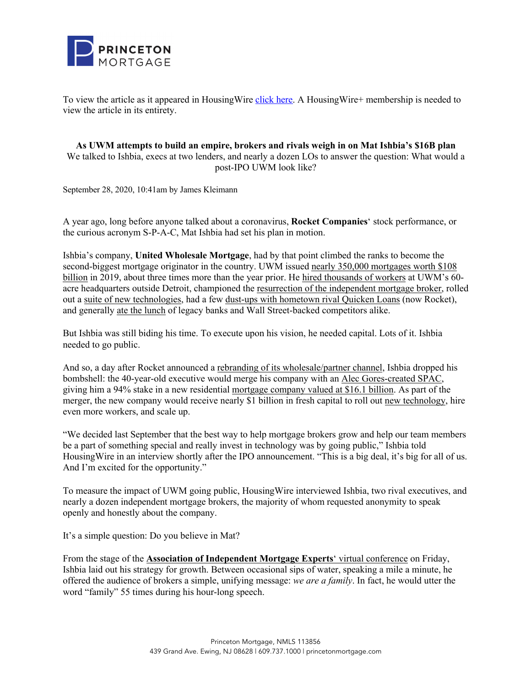

To view the article as it appeared in HousingWire [click here.](https://www.housingwire.com/articles/as-uwm-attempts-to-build-an-empire-brokers-and-rivals-weigh-in-on-mat-ishbias-16b-plan/) A HousingWire+ membership is needed to view the article in its entirety.

**As UWM attempts to build an empire, brokers and rivals weigh in on Mat Ishbia's \$16B plan** We talked to Ishbia, execs at two lenders, and nearly a dozen LOs to answer the question: What would a post-IPO UWM look like?

September 28, 2020, 10:41am by James Kleimann

A year ago, long before anyone talked about a coronavirus, **Rocket Companies**' stock performance, or the curious acronym S-P-A-C, Mat Ishbia had set his plan in motion.

Ishbia's company, **United Wholesale Mortgage**, had by that point climbed the ranks to become the second-biggest mortgage originator in the country. UWM issued nearly 350,000 mortgages worth \$108 billion in 2019, about three times more than the year prior. He hired thousands of workers at UWM's 60 acre headquarters outside Detroit, championed the resurrection of the independent mortgage broker, rolled out a suite of new technologies, had a few dust-ups with hometown rival Quicken Loans (now Rocket), and generally ate the lunch of legacy banks and Wall Street-backed competitors alike.

But Ishbia was still biding his time. To execute upon his vision, he needed capital. Lots of it. Ishbia needed to go public.

And so, a day after Rocket announced a rebranding of its wholesale/partner channel, Ishbia dropped his bombshell: the 40-year-old executive would merge his company with an Alec Gores-created SPAC, giving him a 94% stake in a new residential mortgage company valued at \$16.1 billion. As part of the merger, the new company would receive nearly \$1 billion in fresh capital to roll out new technology, hire even more workers, and scale up.

"We decided last September that the best way to help mortgage brokers grow and help our team members be a part of something special and really invest in technology was by going public," Ishbia told HousingWire in an interview shortly after the IPO announcement. "This is a big deal, it's big for all of us. And I'm excited for the opportunity."

To measure the impact of UWM going public, HousingWire interviewed Ishbia, two rival executives, and nearly a dozen independent mortgage brokers, the majority of whom requested anonymity to speak openly and honestly about the company.

It's a simple question: Do you believe in Mat?

From the stage of the **Association of Independent Mortgage Experts**' virtual conference on Friday, Ishbia laid out his strategy for growth. Between occasional sips of water, speaking a mile a minute, he offered the audience of brokers a simple, unifying message: *we are a family*. In fact, he would utter the word "family" 55 times during his hour-long speech.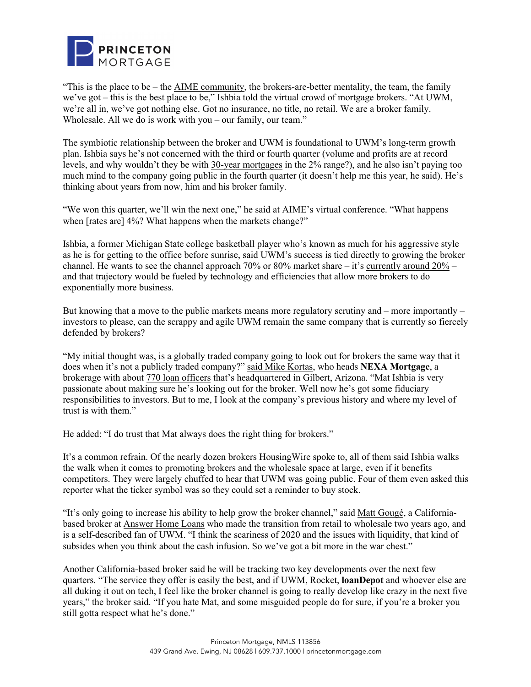

"This is the place to be – the  $\overline{\text{AIME}}$  community, the brokers-are-better mentality, the team, the family we've got – this is the best place to be," Ishbia told the virtual crowd of mortgage brokers. "At UWM, we're all in, we've got nothing else. Got no insurance, no title, no retail. We are a broker family. Wholesale. All we do is work with you – our family, our team."

The symbiotic relationship between the broker and UWM is foundational to UWM's long-term growth plan. Ishbia says he's not concerned with the third or fourth quarter (volume and profits are at record levels, and why wouldn't they be with 30-year mortgages in the 2% range?), and he also isn't paying too much mind to the company going public in the fourth quarter (it doesn't help me this year, he said). He's thinking about years from now, him and his broker family.

"We won this quarter, we'll win the next one," he said at AIME's virtual conference. "What happens when [rates are] 4%? What happens when the markets change?"

Ishbia, a former Michigan State college basketball player who's known as much for his aggressive style as he is for getting to the office before sunrise, said UWM's success is tied directly to growing the broker channel. He wants to see the channel approach 70% or 80% market share – it's currently around 20% – and that trajectory would be fueled by technology and efficiencies that allow more brokers to do exponentially more business.

But knowing that a move to the public markets means more regulatory scrutiny and – more importantly – investors to please, can the scrappy and agile UWM remain the same company that is currently so fiercely defended by brokers?

"My initial thought was, is a globally traded company going to look out for brokers the same way that it does when it's not a publicly traded company?" said Mike Kortas, who heads **NEXA Mortgage**, a brokerage with about 770 loan officers that's headquartered in Gilbert, Arizona. "Mat Ishbia is very passionate about making sure he's looking out for the broker. Well now he's got some fiduciary responsibilities to investors. But to me, I look at the company's previous history and where my level of trust is with them."

He added: "I do trust that Mat always does the right thing for brokers."

It's a common refrain. Of the nearly dozen brokers HousingWire spoke to, all of them said Ishbia walks the walk when it comes to promoting brokers and the wholesale space at large, even if it benefits competitors. They were largely chuffed to hear that UWM was going public. Four of them even asked this reporter what the ticker symbol was so they could set a reminder to buy stock.

"It's only going to increase his ability to help grow the broker channel," said Matt Gougé, a Californiabased broker at Answer Home Loans who made the transition from retail to wholesale two years ago, and is a self-described fan of UWM. "I think the scariness of 2020 and the issues with liquidity, that kind of subsides when you think about the cash infusion. So we've got a bit more in the war chest."

Another California-based broker said he will be tracking two key developments over the next few quarters. "The service they offer is easily the best, and if UWM, Rocket, **loanDepot** and whoever else are all duking it out on tech, I feel like the broker channel is going to really develop like crazy in the next five years," the broker said. "If you hate Mat, and some misguided people do for sure, if you're a broker you still gotta respect what he's done."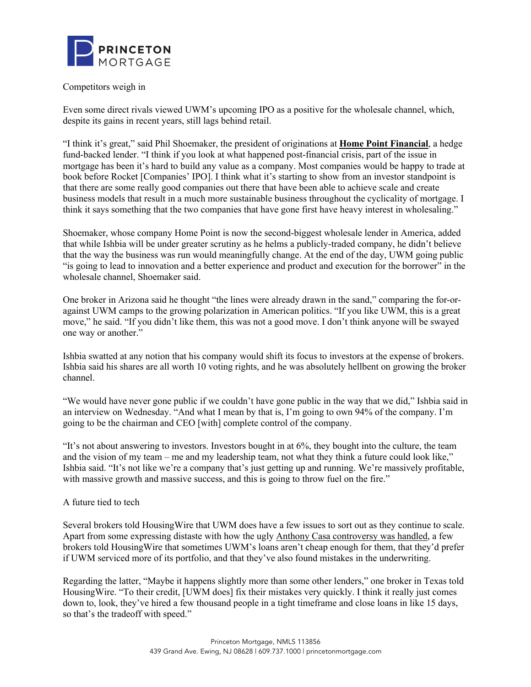

## Competitors weigh in

Even some direct rivals viewed UWM's upcoming IPO as a positive for the wholesale channel, which, despite its gains in recent years, still lags behind retail.

"I think it's great," said Phil Shoemaker, the president of originations at **Home Point Financial**, a hedge fund-backed lender. "I think if you look at what happened post-financial crisis, part of the issue in mortgage has been it's hard to build any value as a company. Most companies would be happy to trade at book before Rocket [Companies' IPO]. I think what it's starting to show from an investor standpoint is that there are some really good companies out there that have been able to achieve scale and create business models that result in a much more sustainable business throughout the cyclicality of mortgage. I think it says something that the two companies that have gone first have heavy interest in wholesaling."

Shoemaker, whose company Home Point is now the second-biggest wholesale lender in America, added that while Ishbia will be under greater scrutiny as he helms a publicly-traded company, he didn't believe that the way the business was run would meaningfully change. At the end of the day, UWM going public "is going to lead to innovation and a better experience and product and execution for the borrower" in the wholesale channel, Shoemaker said.

One broker in Arizona said he thought "the lines were already drawn in the sand," comparing the for-oragainst UWM camps to the growing polarization in American politics. "If you like UWM, this is a great move," he said. "If you didn't like them, this was not a good move. I don't think anyone will be swayed one way or another."

Ishbia swatted at any notion that his company would shift its focus to investors at the expense of brokers. Ishbia said his shares are all worth 10 voting rights, and he was absolutely hellbent on growing the broker channel.

"We would have never gone public if we couldn't have gone public in the way that we did," Ishbia said in an interview on Wednesday. "And what I mean by that is, I'm going to own 94% of the company. I'm going to be the chairman and CEO [with] complete control of the company.

"It's not about answering to investors. Investors bought in at 6%, they bought into the culture, the team and the vision of my team – me and my leadership team, not what they think a future could look like," Ishbia said. "It's not like we're a company that's just getting up and running. We're massively profitable, with massive growth and massive success, and this is going to throw fuel on the fire."

## A future tied to tech

Several brokers told HousingWire that UWM does have a few issues to sort out as they continue to scale. Apart from some expressing distaste with how the ugly Anthony Casa controversy was handled, a few brokers told HousingWire that sometimes UWM's loans aren't cheap enough for them, that they'd prefer if UWM serviced more of its portfolio, and that they've also found mistakes in the underwriting.

Regarding the latter, "Maybe it happens slightly more than some other lenders," one broker in Texas told HousingWire. "To their credit, [UWM does] fix their mistakes very quickly. I think it really just comes down to, look, they've hired a few thousand people in a tight timeframe and close loans in like 15 days, so that's the tradeoff with speed."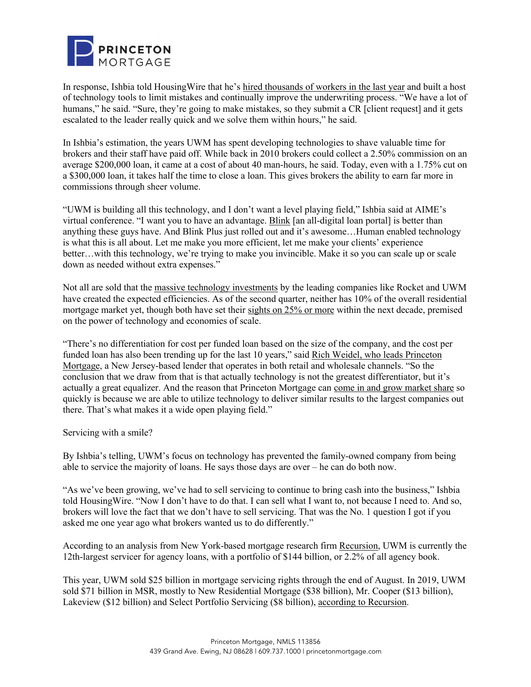

In response, Ishbia told HousingWire that he's hired thousands of workers in the last year and built a host of technology tools to limit mistakes and continually improve the underwriting process. "We have a lot of humans," he said. "Sure, they're going to make mistakes, so they submit a CR [client request] and it gets escalated to the leader really quick and we solve them within hours," he said.

In Ishbia's estimation, the years UWM has spent developing technologies to shave valuable time for brokers and their staff have paid off. While back in 2010 brokers could collect a 2.50% commission on an average \$200,000 loan, it came at a cost of about 40 man-hours, he said. Today, even with a 1.75% cut on a \$300,000 loan, it takes half the time to close a loan. This gives brokers the ability to earn far more in commissions through sheer volume.

"UWM is building all this technology, and I don't want a level playing field," Ishbia said at AIME's virtual conference. "I want you to have an advantage. Blink [an all-digital loan portal] is better than anything these guys have. And Blink Plus just rolled out and it's awesome…Human enabled technology is what this is all about. Let me make you more efficient, let me make your clients' experience better…with this technology, we're trying to make you invincible. Make it so you can scale up or scale down as needed without extra expenses."

Not all are sold that the massive technology investments by the leading companies like Rocket and UWM have created the expected efficiencies. As of the second quarter, neither has 10% of the overall residential mortgage market yet, though both have set their sights on 25% or more within the next decade, premised on the power of technology and economies of scale.

"There's no differentiation for cost per funded loan based on the size of the company, and the cost per funded loan has also been trending up for the last 10 years," said Rich Weidel, who leads Princeton Mortgage, a New Jersey-based lender that operates in both retail and wholesale channels. "So the conclusion that we draw from that is that actually technology is not the greatest differentiator, but it's actually a great equalizer. And the reason that Princeton Mortgage can come in and grow market share so quickly is because we are able to utilize technology to deliver similar results to the largest companies out there. That's what makes it a wide open playing field."

Servicing with a smile?

By Ishbia's telling, UWM's focus on technology has prevented the family-owned company from being able to service the majority of loans. He says those days are over – he can do both now.

"As we've been growing, we've had to sell servicing to continue to bring cash into the business," Ishbia told HousingWire. "Now I don't have to do that. I can sell what I want to, not because I need to. And so, brokers will love the fact that we don't have to sell servicing. That was the No. 1 question I got if you asked me one year ago what brokers wanted us to do differently."

According to an analysis from New York-based mortgage research firm Recursion, UWM is currently the 12th-largest servicer for agency loans, with a portfolio of \$144 billion, or 2.2% of all agency book.

This year, UWM sold \$25 billion in mortgage servicing rights through the end of August. In 2019, UWM sold \$71 billion in MSR, mostly to New Residential Mortgage (\$38 billion), Mr. Cooper (\$13 billion), Lakeview (\$12 billion) and Select Portfolio Servicing (\$8 billion), according to Recursion.